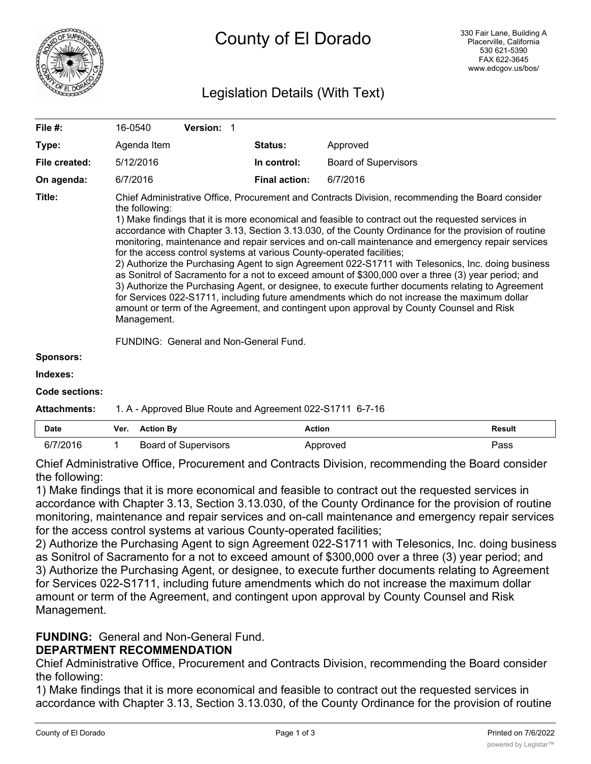

# Legislation Details (With Text)

| File #:       | 16-0540                                                                                                                                                                                                                                                                                                                                                                                                                                                                                                                                                                                                                                                                                                                                                                                                                                                                                                                                                                                                                                      | <b>Version:</b> |                      |                             |  |
|---------------|----------------------------------------------------------------------------------------------------------------------------------------------------------------------------------------------------------------------------------------------------------------------------------------------------------------------------------------------------------------------------------------------------------------------------------------------------------------------------------------------------------------------------------------------------------------------------------------------------------------------------------------------------------------------------------------------------------------------------------------------------------------------------------------------------------------------------------------------------------------------------------------------------------------------------------------------------------------------------------------------------------------------------------------------|-----------------|----------------------|-----------------------------|--|
| Type:         | Agenda Item                                                                                                                                                                                                                                                                                                                                                                                                                                                                                                                                                                                                                                                                                                                                                                                                                                                                                                                                                                                                                                  |                 | <b>Status:</b>       | Approved                    |  |
| File created: | 5/12/2016                                                                                                                                                                                                                                                                                                                                                                                                                                                                                                                                                                                                                                                                                                                                                                                                                                                                                                                                                                                                                                    |                 | In control:          | <b>Board of Supervisors</b> |  |
| On agenda:    | 6/7/2016                                                                                                                                                                                                                                                                                                                                                                                                                                                                                                                                                                                                                                                                                                                                                                                                                                                                                                                                                                                                                                     |                 | <b>Final action:</b> | 6/7/2016                    |  |
| Title:        | Chief Administrative Office, Procurement and Contracts Division, recommending the Board consider<br>the following:<br>1) Make findings that it is more economical and feasible to contract out the requested services in<br>accordance with Chapter 3.13, Section 3.13.030, of the County Ordinance for the provision of routine<br>monitoring, maintenance and repair services and on-call maintenance and emergency repair services<br>for the access control systems at various County-operated facilities;<br>2) Authorize the Purchasing Agent to sign Agreement 022-S1711 with Telesonics, Inc. doing business<br>as Sonitrol of Sacramento for a not to exceed amount of \$300,000 over a three (3) year period; and<br>3) Authorize the Purchasing Agent, or designee, to execute further documents relating to Agreement<br>for Services 022-S1711, including future amendments which do not increase the maximum dollar<br>amount or term of the Agreement, and contingent upon approval by County Counsel and Risk<br>Management. |                 |                      |                             |  |

FUNDING: General and Non-General Fund.

```
Sponsors:
```
**Indexes:**

**Code sections:**

### **Attachments:** 1. A - Approved Blue Route and Agreement 022-S1711 6-7-16

| <b>Date</b> | Ver. | <b>Action By</b>            | Action   | <b>Result</b> |
|-------------|------|-----------------------------|----------|---------------|
| 6/7/2016    |      | <b>Board of Supervisors</b> | Approved | Pass          |

Chief Administrative Office, Procurement and Contracts Division, recommending the Board consider the following:

1) Make findings that it is more economical and feasible to contract out the requested services in accordance with Chapter 3.13, Section 3.13.030, of the County Ordinance for the provision of routine monitoring, maintenance and repair services and on-call maintenance and emergency repair services for the access control systems at various County-operated facilities;

2) Authorize the Purchasing Agent to sign Agreement 022-S1711 with Telesonics, Inc. doing business as Sonitrol of Sacramento for a not to exceed amount of \$300,000 over a three (3) year period; and 3) Authorize the Purchasing Agent, or designee, to execute further documents relating to Agreement for Services 022-S1711, including future amendments which do not increase the maximum dollar amount or term of the Agreement, and contingent upon approval by County Counsel and Risk Management.

## **FUNDING:** General and Non-General Fund.

# **DEPARTMENT RECOMMENDATION**

Chief Administrative Office, Procurement and Contracts Division, recommending the Board consider the following:

1) Make findings that it is more economical and feasible to contract out the requested services in accordance with Chapter 3.13, Section 3.13.030, of the County Ordinance for the provision of routine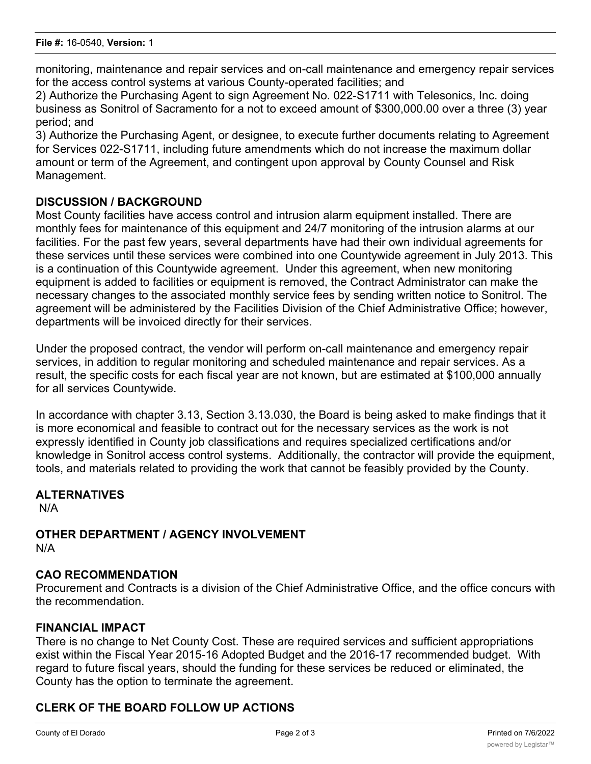monitoring, maintenance and repair services and on-call maintenance and emergency repair services for the access control systems at various County-operated facilities; and

2) Authorize the Purchasing Agent to sign Agreement No. 022-S1711 with Telesonics, Inc. doing business as Sonitrol of Sacramento for a not to exceed amount of \$300,000.00 over a three (3) year period; and

3) Authorize the Purchasing Agent, or designee, to execute further documents relating to Agreement for Services 022-S1711, including future amendments which do not increase the maximum dollar amount or term of the Agreement, and contingent upon approval by County Counsel and Risk Management.

## **DISCUSSION / BACKGROUND**

Most County facilities have access control and intrusion alarm equipment installed. There are monthly fees for maintenance of this equipment and 24/7 monitoring of the intrusion alarms at our facilities. For the past few years, several departments have had their own individual agreements for these services until these services were combined into one Countywide agreement in July 2013. This is a continuation of this Countywide agreement. Under this agreement, when new monitoring equipment is added to facilities or equipment is removed, the Contract Administrator can make the necessary changes to the associated monthly service fees by sending written notice to Sonitrol. The agreement will be administered by the Facilities Division of the Chief Administrative Office; however, departments will be invoiced directly for their services.

Under the proposed contract, the vendor will perform on-call maintenance and emergency repair services, in addition to regular monitoring and scheduled maintenance and repair services. As a result, the specific costs for each fiscal year are not known, but are estimated at \$100,000 annually for all services Countywide.

In accordance with chapter 3.13, Section 3.13.030, the Board is being asked to make findings that it is more economical and feasible to contract out for the necessary services as the work is not expressly identified in County job classifications and requires specialized certifications and/or knowledge in Sonitrol access control systems. Additionally, the contractor will provide the equipment, tools, and materials related to providing the work that cannot be feasibly provided by the County.

# **ALTERNATIVES**

N/A

#### **OTHER DEPARTMENT / AGENCY INVOLVEMENT** N/A

## **CAO RECOMMENDATION**

Procurement and Contracts is a division of the Chief Administrative Office, and the office concurs with the recommendation.

## **FINANCIAL IMPACT**

There is no change to Net County Cost. These are required services and sufficient appropriations exist within the Fiscal Year 2015-16 Adopted Budget and the 2016-17 recommended budget. With regard to future fiscal years, should the funding for these services be reduced or eliminated, the County has the option to terminate the agreement.

## **CLERK OF THE BOARD FOLLOW UP ACTIONS**